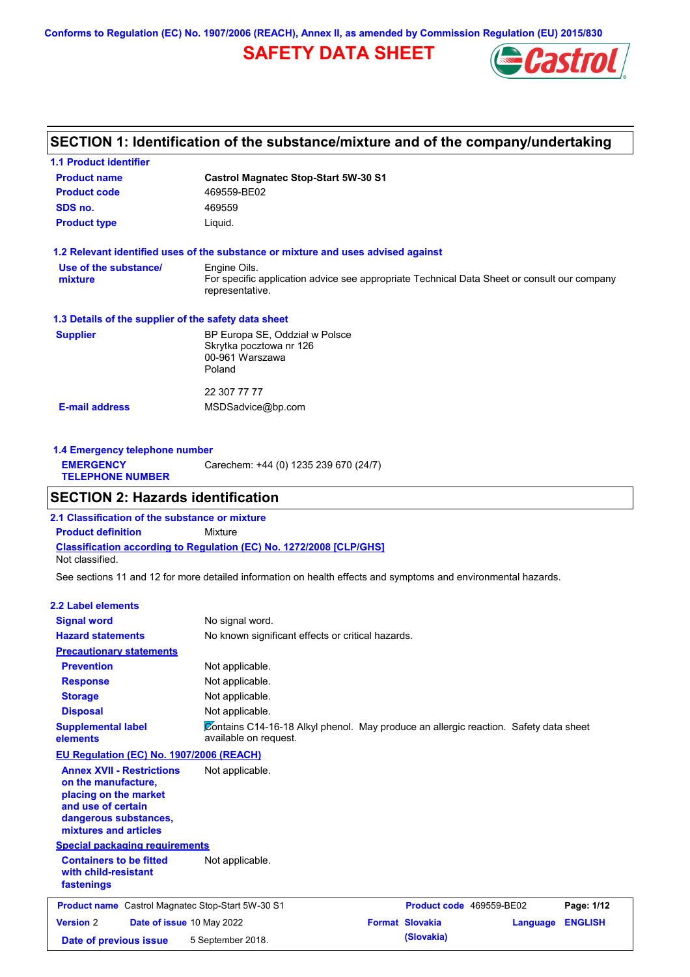**Conforms to Regulation (EC) No. 1907/2006 (REACH), Annex II, as amended by Commission Regulation (EU) 2015/830**

# **SAFETY DATA SHEET**



### **SECTION 1: Identification of the substance/mixture and of the company/undertaking**

| <b>1.1 Product identifier</b>                        |                                                                                                                |
|------------------------------------------------------|----------------------------------------------------------------------------------------------------------------|
| <b>Product name</b>                                  | <b>Castrol Magnatec Stop-Start 5W-30 S1</b>                                                                    |
| <b>Product code</b>                                  | 469559-BE02                                                                                                    |
| SDS no.                                              | 469559                                                                                                         |
| <b>Product type</b>                                  | Liquid.                                                                                                        |
|                                                      | 1.2 Relevant identified uses of the substance or mixture and uses advised against                              |
| Use of the substance/                                | Engine Oils.                                                                                                   |
| mixture                                              | For specific application advice see appropriate Technical Data Sheet or consult our company<br>representative. |
| 1.3 Details of the supplier of the safety data sheet |                                                                                                                |
| <b>Supplier</b>                                      | BP Europa SE, Oddział w Polsce                                                                                 |
|                                                      | Skrytka pocztowa nr 126                                                                                        |
|                                                      | 00-961 Warszawa<br>Poland                                                                                      |
|                                                      |                                                                                                                |
|                                                      | 22 307 77 77                                                                                                   |
| <b>E-mail address</b>                                | MSDSadvice@bp.com                                                                                              |
|                                                      |                                                                                                                |

| 1.4 Emergency telephone number              |                                       |  |  |  |
|---------------------------------------------|---------------------------------------|--|--|--|
| <b>EMERGENCY</b><br><b>TELEPHONE NUMBER</b> | Carechem: +44 (0) 1235 239 670 (24/7) |  |  |  |

### **SECTION 2: Hazards identification**

**Classification according to Regulation (EC) No. 1272/2008 [CLP/GHS] 2.1 Classification of the substance or mixture Product definition** Mixture Not classified.

See sections 11 and 12 for more detailed information on health effects and symptoms and environmental hazards.

#### **2.2 Label elements**

| <b>Signal word</b>                                                                                                                                       | No signal word.                                                                                               |                          |          |                |
|----------------------------------------------------------------------------------------------------------------------------------------------------------|---------------------------------------------------------------------------------------------------------------|--------------------------|----------|----------------|
| <b>Hazard statements</b>                                                                                                                                 | No known significant effects or critical hazards.                                                             |                          |          |                |
| <b>Precautionary statements</b>                                                                                                                          |                                                                                                               |                          |          |                |
| <b>Prevention</b>                                                                                                                                        | Not applicable.                                                                                               |                          |          |                |
| <b>Response</b>                                                                                                                                          | Not applicable.                                                                                               |                          |          |                |
| <b>Storage</b>                                                                                                                                           | Not applicable.                                                                                               |                          |          |                |
| <b>Disposal</b>                                                                                                                                          | Not applicable.                                                                                               |                          |          |                |
| <b>Supplemental label</b><br>elements                                                                                                                    | Contains C14-16-18 Alkyl phenol. May produce an allergic reaction. Safety data sheet<br>available on request. |                          |          |                |
| EU Regulation (EC) No. 1907/2006 (REACH)                                                                                                                 |                                                                                                               |                          |          |                |
| <b>Annex XVII - Restrictions</b><br>on the manufacture,<br>placing on the market<br>and use of certain<br>dangerous substances,<br>mixtures and articles | Not applicable.                                                                                               |                          |          |                |
| <b>Special packaging requirements</b>                                                                                                                    |                                                                                                               |                          |          |                |
| <b>Containers to be fitted</b><br>with child-resistant<br>fastenings                                                                                     | Not applicable.                                                                                               |                          |          |                |
| <b>Product name</b> Castrol Magnatec Stop-Start 5W-30 S1                                                                                                 |                                                                                                               | Product code 469559-BE02 |          | Page: 1/12     |
| <b>Version 2</b><br>Date of issue 10 May 2022                                                                                                            |                                                                                                               | <b>Format Slovakia</b>   | Language | <b>ENGLISH</b> |
| Date of previous issue                                                                                                                                   | 5 September 2018.                                                                                             | (Slovakia)               |          |                |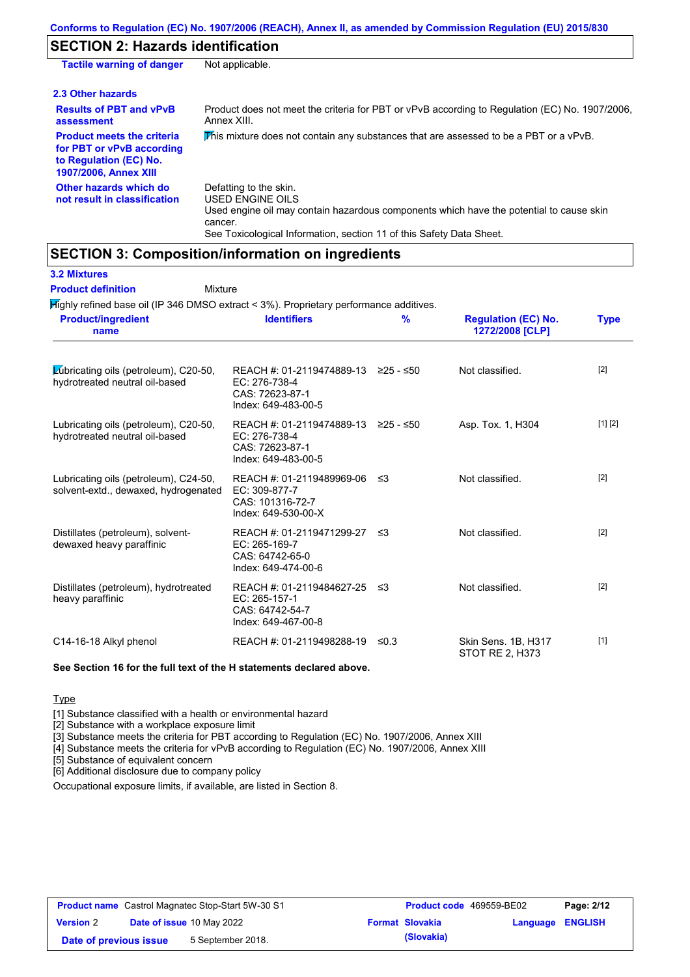### **SECTION 2: Hazards identification**

| <b>Tactile warning of danger</b>                                                                                         | Not applicable.                                                                                                                                                                                                          |
|--------------------------------------------------------------------------------------------------------------------------|--------------------------------------------------------------------------------------------------------------------------------------------------------------------------------------------------------------------------|
| 2.3 Other hazards                                                                                                        |                                                                                                                                                                                                                          |
| <b>Results of PBT and vPvB</b><br>assessment                                                                             | Product does not meet the criteria for PBT or vPvB according to Regulation (EC) No. 1907/2006,<br>Annex XIII.                                                                                                            |
| <b>Product meets the criteria</b><br>for PBT or vPvB according<br>to Regulation (EC) No.<br><b>1907/2006, Annex XIII</b> | This mixture does not contain any substances that are assessed to be a PBT or a vPvB.                                                                                                                                    |
| Other hazards which do<br>not result in classification                                                                   | Defatting to the skin.<br>USED ENGINE OILS<br>Used engine oil may contain hazardous components which have the potential to cause skin<br>cancer.<br>See Toxicological Information, section 11 of this Safety Data Sheet. |

### **SECTION 3: Composition/information on ingredients**

| $H$ ighly refined base oil (IP 346 DMSO extract < 3%). Proprietary performance additives.<br><b>Product/ingredient</b> | <b>Identifiers</b>                                                                             | %    | <b>Regulation (EC) No.</b>             | <b>Type</b> |
|------------------------------------------------------------------------------------------------------------------------|------------------------------------------------------------------------------------------------|------|----------------------------------------|-------------|
| name                                                                                                                   |                                                                                                |      | 1272/2008 [CLP]                        |             |
| Lubricating oils (petroleum), C20-50,<br>hydrotreated neutral oil-based                                                | REACH #: 01-2119474889-13 ≥25 - ≤50<br>EC: 276-738-4<br>CAS: 72623-87-1<br>Index: 649-483-00-5 |      | Not classified.                        | $[2]$       |
| Lubricating oils (petroleum), C20-50,<br>hydrotreated neutral oil-based                                                | REACH #: 01-2119474889-13 ≥25 - ≤50<br>EC: 276-738-4<br>CAS: 72623-87-1<br>Index: 649-483-00-5 |      | Asp. Tox. 1, H304                      | [1] [2]     |
| Lubricating oils (petroleum), C24-50,<br>solvent-extd., dewaxed, hydrogenated                                          | REACH #: 01-2119489969-06<br>EC: 309-877-7<br>CAS: 101316-72-7<br>Index: 649-530-00-X          | -≤3  | Not classified.                        | [2]         |
| Distillates (petroleum), solvent-<br>dewaxed heavy paraffinic                                                          | REACH #: 01-2119471299-27<br>EC: 265-169-7<br>CAS: 64742-65-0<br>Index: 649-474-00-6           | ึ ≤3 | Not classified.                        | $[2]$       |
| Distillates (petroleum), hydrotreated<br>heavy paraffinic                                                              | REACH #: 01-2119484627-25<br>EC: 265-157-1<br>CAS: 64742-54-7<br>Index: 649-467-00-8           | ≲3   | Not classified.                        | $[2]$       |
| C14-16-18 Alkyl phenol                                                                                                 | REACH #: 01-2119498288-19                                                                      | ≤0.3 | Skin Sens. 1B, H317<br>STOT RE 2, H373 | $[1]$       |

#### **See Section 16 for the full text of the H statements declared above.**

**Type** 

[1] Substance classified with a health or environmental hazard

[2] Substance with a workplace exposure limit

[3] Substance meets the criteria for PBT according to Regulation (EC) No. 1907/2006, Annex XIII

[4] Substance meets the criteria for vPvB according to Regulation (EC) No. 1907/2006, Annex XIII

[5] Substance of equivalent concern

[6] Additional disclosure due to company policy

Occupational exposure limits, if available, are listed in Section 8.

| <b>Product name</b> Castrol Magnatec Stop-Start 5W-30 S1 |  | <b>Product code</b> 469559-BE02 |  | Page: 2/12             |                         |  |
|----------------------------------------------------------|--|---------------------------------|--|------------------------|-------------------------|--|
| <b>Version 2</b>                                         |  | Date of issue 10 May 2022       |  | <b>Format Slovakia</b> | <b>Language ENGLISH</b> |  |
| Date of previous issue                                   |  | 5 September 2018.               |  | (Slovakia)             |                         |  |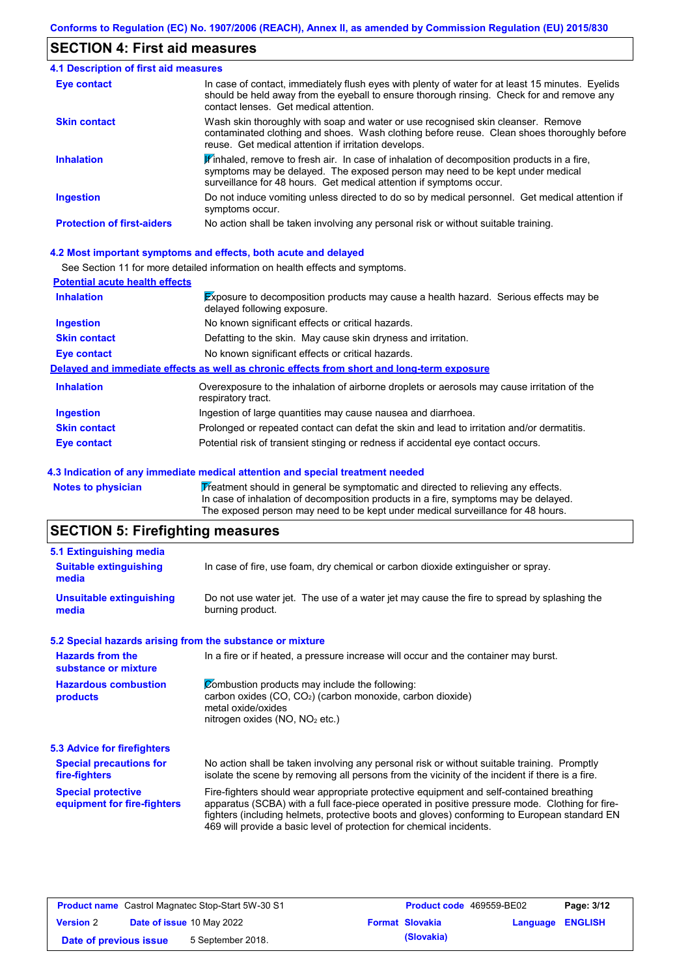### **SECTION 4: First aid measures**

| <b>4.1 Description of first aid measures</b> |                                                                                                                                                                                                                                                                         |
|----------------------------------------------|-------------------------------------------------------------------------------------------------------------------------------------------------------------------------------------------------------------------------------------------------------------------------|
| <b>Eye contact</b>                           | In case of contact, immediately flush eyes with plenty of water for at least 15 minutes. Eyelids<br>should be held away from the eyeball to ensure thorough rinsing. Check for and remove any<br>contact lenses. Get medical attention.                                 |
| <b>Skin contact</b>                          | Wash skin thoroughly with soap and water or use recognised skin cleanser. Remove<br>contaminated clothing and shoes. Wash clothing before reuse. Clean shoes thoroughly before<br>reuse. Get medical attention if irritation develops.                                  |
| <b>Inhalation</b>                            | $\mathbf{\mathscr{F}}$ inhaled, remove to fresh air. In case of inhalation of decomposition products in a fire,<br>symptoms may be delayed. The exposed person may need to be kept under medical<br>surveillance for 48 hours. Get medical attention if symptoms occur. |
| <b>Ingestion</b>                             | Do not induce vomiting unless directed to do so by medical personnel. Get medical attention if<br>symptoms occur.                                                                                                                                                       |
| <b>Protection of first-aiders</b>            | No action shall be taken involving any personal risk or without suitable training.                                                                                                                                                                                      |

#### **4.2 Most important symptoms and effects, both acute and delayed**

See Section 11 for more detailed information on health effects and symptoms.

| <b>Potential acute health effects</b> |                                                                                                                            |
|---------------------------------------|----------------------------------------------------------------------------------------------------------------------------|
| <b>Inhalation</b>                     | <b>Exposure to decomposition products may cause a health hazard. Serious effects may be</b><br>delayed following exposure. |
| <b>Ingestion</b>                      | No known significant effects or critical hazards.                                                                          |
| <b>Skin contact</b>                   | Defatting to the skin. May cause skin dryness and irritation.                                                              |
| Eye contact                           | No known significant effects or critical hazards.                                                                          |
|                                       | Delayed and immediate effects as well as chronic effects from short and long-term exposure                                 |
| <b>Inhalation</b>                     | Overexposure to the inhalation of airborne droplets or aerosols may cause irritation of the<br>respiratory tract.          |
| <b>Ingestion</b>                      | Ingestion of large quantities may cause nausea and diarrhoea.                                                              |
| <b>Skin contact</b>                   | Prolonged or repeated contact can defat the skin and lead to irritation and/or dermatitis.                                 |
| Eye contact                           | Potential risk of transient stinging or redness if accidental eye contact occurs.                                          |

#### **4.3 Indication of any immediate medical attention and special treatment needed**

Notes to physician **Treatment should in general be symptomatic and directed to relieving any effects.** In case of inhalation of decomposition products in a fire, symptoms may be delayed. The exposed person may need to be kept under medical surveillance for 48 hours.

## **SECTION 5: Firefighting measures**

| 5.1 Extinguishing media                                   |                                                                                                                                                                                                                                                                                                                                                                   |  |  |
|-----------------------------------------------------------|-------------------------------------------------------------------------------------------------------------------------------------------------------------------------------------------------------------------------------------------------------------------------------------------------------------------------------------------------------------------|--|--|
| <b>Suitable extinguishing</b><br>media                    | In case of fire, use foam, dry chemical or carbon dioxide extinguisher or spray.                                                                                                                                                                                                                                                                                  |  |  |
| <b>Unsuitable extinguishing</b><br>media                  | Do not use water jet. The use of a water jet may cause the fire to spread by splashing the<br>burning product.                                                                                                                                                                                                                                                    |  |  |
| 5.2 Special hazards arising from the substance or mixture |                                                                                                                                                                                                                                                                                                                                                                   |  |  |
| <b>Hazards from the</b><br>substance or mixture           | In a fire or if heated, a pressure increase will occur and the container may burst.                                                                                                                                                                                                                                                                               |  |  |
| <b>Hazardous combustion</b><br>products                   | Combustion products may include the following:<br>carbon oxides (CO, CO <sub>2</sub> ) (carbon monoxide, carbon dioxide)<br>metal oxide/oxides<br>nitrogen oxides (NO, NO <sub>2</sub> etc.)                                                                                                                                                                      |  |  |
| 5.3 Advice for firefighters                               |                                                                                                                                                                                                                                                                                                                                                                   |  |  |
| <b>Special precautions for</b><br>fire-fighters           | No action shall be taken involving any personal risk or without suitable training. Promptly<br>isolate the scene by removing all persons from the vicinity of the incident if there is a fire.                                                                                                                                                                    |  |  |
| <b>Special protective</b><br>equipment for fire-fighters  | Fire-fighters should wear appropriate protective equipment and self-contained breathing<br>apparatus (SCBA) with a full face-piece operated in positive pressure mode. Clothing for fire-<br>fighters (including helmets, protective boots and gloves) conforming to European standard EN<br>469 will provide a basic level of protection for chemical incidents. |  |  |

| <b>Product name</b> Castrol Magnatec Stop-Start 5W-30 S1 |  |                                  | <b>Product code</b> 469559-BE02 |                        | Page: 3/12       |  |
|----------------------------------------------------------|--|----------------------------------|---------------------------------|------------------------|------------------|--|
| <b>Version 2</b>                                         |  | <b>Date of issue 10 May 2022</b> |                                 | <b>Format Slovakia</b> | Language ENGLISH |  |
| Date of previous issue                                   |  | 5 September 2018.                |                                 | (Slovakia)             |                  |  |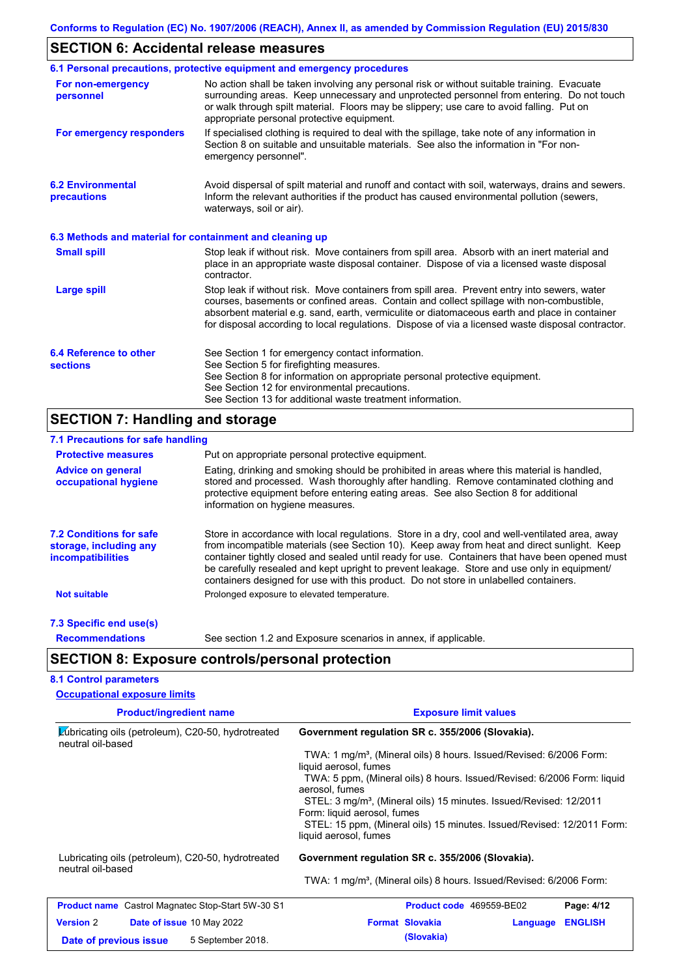# **SECTION 6: Accidental release measures**

|                                                          | 6.1 Personal precautions, protective equipment and emergency procedures                                                                                                                                                                                                                                                                                                                        |
|----------------------------------------------------------|------------------------------------------------------------------------------------------------------------------------------------------------------------------------------------------------------------------------------------------------------------------------------------------------------------------------------------------------------------------------------------------------|
| For non-emergency<br>personnel                           | No action shall be taken involving any personal risk or without suitable training. Evacuate<br>surrounding areas. Keep unnecessary and unprotected personnel from entering. Do not touch<br>or walk through spilt material. Floors may be slippery; use care to avoid falling. Put on<br>appropriate personal protective equipment.                                                            |
| For emergency responders                                 | If specialised clothing is required to deal with the spillage, take note of any information in<br>Section 8 on suitable and unsuitable materials. See also the information in "For non-<br>emergency personnel".                                                                                                                                                                               |
| <b>6.2 Environmental</b><br>precautions                  | Avoid dispersal of spilt material and runoff and contact with soil, waterways, drains and sewers.<br>Inform the relevant authorities if the product has caused environmental pollution (sewers,<br>waterways, soil or air).                                                                                                                                                                    |
| 6.3 Methods and material for containment and cleaning up |                                                                                                                                                                                                                                                                                                                                                                                                |
| <b>Small spill</b>                                       | Stop leak if without risk. Move containers from spill area. Absorb with an inert material and<br>place in an appropriate waste disposal container. Dispose of via a licensed waste disposal<br>contractor.                                                                                                                                                                                     |
| <b>Large spill</b>                                       | Stop leak if without risk. Move containers from spill area. Prevent entry into sewers, water<br>courses, basements or confined areas. Contain and collect spillage with non-combustible,<br>absorbent material e.g. sand, earth, vermiculite or diatomaceous earth and place in container<br>for disposal according to local regulations. Dispose of via a licensed waste disposal contractor. |
| 6.4 Reference to other<br><b>sections</b>                | See Section 1 for emergency contact information.<br>See Section 5 for firefighting measures.<br>See Section 8 for information on appropriate personal protective equipment.<br>See Section 12 for environmental precautions.<br>See Section 13 for additional waste treatment information.                                                                                                     |

# **SECTION 7: Handling and storage**

| 7.1 Precautions for safe handling                                                    |                                                                                                                                                                                                                                                                                                                                                                                                                                                                                          |  |  |  |  |
|--------------------------------------------------------------------------------------|------------------------------------------------------------------------------------------------------------------------------------------------------------------------------------------------------------------------------------------------------------------------------------------------------------------------------------------------------------------------------------------------------------------------------------------------------------------------------------------|--|--|--|--|
| <b>Protective measures</b>                                                           | Put on appropriate personal protective equipment.                                                                                                                                                                                                                                                                                                                                                                                                                                        |  |  |  |  |
| <b>Advice on general</b><br>occupational hygiene                                     | Eating, drinking and smoking should be prohibited in areas where this material is handled,<br>stored and processed. Wash thoroughly after handling. Remove contaminated clothing and<br>protective equipment before entering eating areas. See also Section 8 for additional<br>information on hygiene measures.                                                                                                                                                                         |  |  |  |  |
| <b>7.2 Conditions for safe</b><br>storage, including any<br><i>incompatibilities</i> | Store in accordance with local regulations. Store in a dry, cool and well-ventilated area, away<br>from incompatible materials (see Section 10). Keep away from heat and direct sunlight. Keep<br>container tightly closed and sealed until ready for use. Containers that have been opened must<br>be carefully resealed and kept upright to prevent leakage. Store and use only in equipment/<br>containers designed for use with this product. Do not store in unlabelled containers. |  |  |  |  |
| <b>Not suitable</b>                                                                  | Prolonged exposure to elevated temperature.                                                                                                                                                                                                                                                                                                                                                                                                                                              |  |  |  |  |
| 7.3 Specific end use(s)                                                              |                                                                                                                                                                                                                                                                                                                                                                                                                                                                                          |  |  |  |  |
| <b>Recommendations</b>                                                               | See section 1.2 and Exposure scenarios in annex, if applicable.                                                                                                                                                                                                                                                                                                                                                                                                                          |  |  |  |  |
|                                                                                      | <b>SECTION 8: Exposure controls/personal protection</b>                                                                                                                                                                                                                                                                                                                                                                                                                                  |  |  |  |  |
| <b>8.1 Control parameters</b>                                                        |                                                                                                                                                                                                                                                                                                                                                                                                                                                                                          |  |  |  |  |
| <b>Occupational exposure limits</b>                                                  |                                                                                                                                                                                                                                                                                                                                                                                                                                                                                          |  |  |  |  |

| <b>Product/ingredient name</b>                                          | <b>Exposure limit values</b>                                                                                  |  |  |  |  |  |
|-------------------------------------------------------------------------|---------------------------------------------------------------------------------------------------------------|--|--|--|--|--|
| Lubricating oils (petroleum), C20-50, hydrotreated<br>neutral oil-based | Government regulation SR c. 355/2006 (Slovakia).                                                              |  |  |  |  |  |
|                                                                         | TWA: 1 mg/m <sup>3</sup> , (Mineral oils) 8 hours. Issued/Revised: 6/2006 Form:<br>liquid aerosol, fumes      |  |  |  |  |  |
|                                                                         | TWA: 5 ppm, (Mineral oils) 8 hours. Issued/Revised: 6/2006 Form: liquid<br>aerosol, fumes                     |  |  |  |  |  |
|                                                                         | STEL: 3 mg/m <sup>3</sup> , (Mineral oils) 15 minutes. Issued/Revised: 12/2011<br>Form: liquid aerosol, fumes |  |  |  |  |  |
|                                                                         | STEL: 15 ppm, (Mineral oils) 15 minutes. Issued/Revised: 12/2011 Form:<br>liquid aerosol, fumes               |  |  |  |  |  |
| Lubricating oils (petroleum), C20-50, hydrotreated<br>neutral oil-based | Government regulation SR c. 355/2006 (Slovakia).                                                              |  |  |  |  |  |
|                                                                         | TWA: 1 mg/m <sup>3</sup> , (Mineral oils) 8 hours. Issued/Revised: 6/2006 Form:                               |  |  |  |  |  |
| <b>Product name</b> Castrol Magnatec Stop-Start 5W-30 S1                | Product code 469559-BE02<br>Page: 4/12                                                                        |  |  |  |  |  |
| <b>Version 2</b><br><b>Date of issue 10 May 2022</b>                    | <b>Format Slovakia</b><br><b>ENGLISH</b><br>Language                                                          |  |  |  |  |  |
| 5 September 2018.<br>Date of previous issue                             | (Slovakia)                                                                                                    |  |  |  |  |  |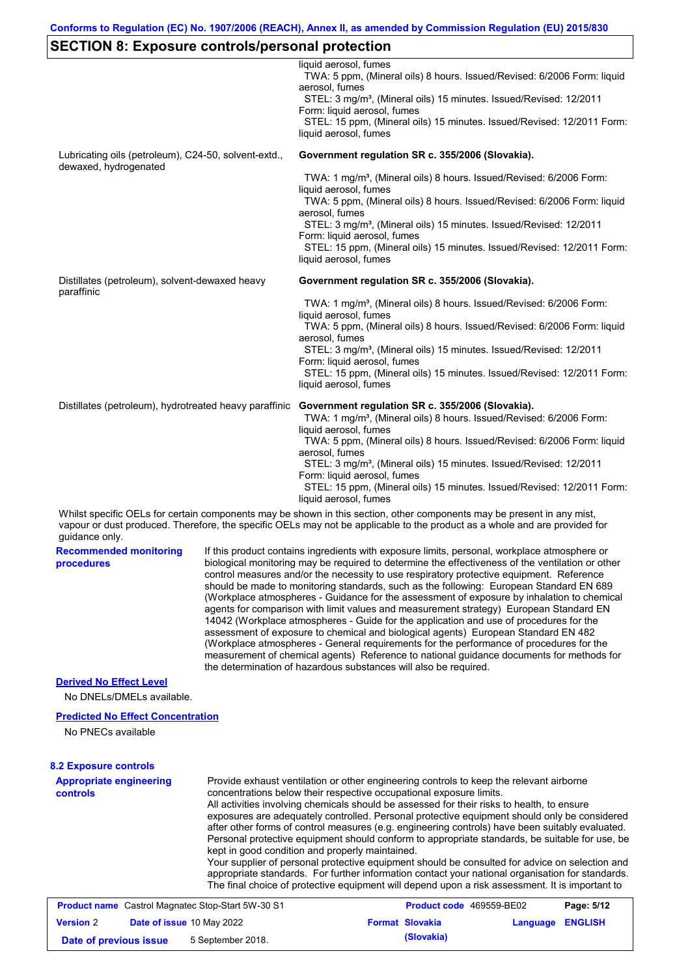### **SECTION 8: Exposure controls/personal protection**

| OLOTION 0. LAPOSUIG CONTUOIS/PGISONAI PIOTGCTION                              |  | liquid aerosol, fumes<br>TWA: 5 ppm, (Mineral oils) 8 hours. Issued/Revised: 6/2006 Form: liquid<br>aerosol, fumes<br>STEL: 3 mg/m <sup>3</sup> , (Mineral oils) 15 minutes. Issued/Revised: 12/2011<br>Form: liquid aerosol, fumes<br>STEL: 15 ppm, (Mineral oils) 15 minutes. Issued/Revised: 12/2011 Form:<br>liquid aerosol, fumes                                                                                                                                                                                                                                                                                                                                                                                                                                                                                                                                                                                                                                                                                     |
|-------------------------------------------------------------------------------|--|----------------------------------------------------------------------------------------------------------------------------------------------------------------------------------------------------------------------------------------------------------------------------------------------------------------------------------------------------------------------------------------------------------------------------------------------------------------------------------------------------------------------------------------------------------------------------------------------------------------------------------------------------------------------------------------------------------------------------------------------------------------------------------------------------------------------------------------------------------------------------------------------------------------------------------------------------------------------------------------------------------------------------|
| Lubricating oils (petroleum), C24-50, solvent-extd.,<br>dewaxed, hydrogenated |  | Government regulation SR c. 355/2006 (Slovakia).                                                                                                                                                                                                                                                                                                                                                                                                                                                                                                                                                                                                                                                                                                                                                                                                                                                                                                                                                                           |
|                                                                               |  | TWA: 1 mg/m <sup>3</sup> , (Mineral oils) 8 hours. Issued/Revised: 6/2006 Form:<br>liquid aerosol, fumes                                                                                                                                                                                                                                                                                                                                                                                                                                                                                                                                                                                                                                                                                                                                                                                                                                                                                                                   |
|                                                                               |  | TWA: 5 ppm, (Mineral oils) 8 hours. Issued/Revised: 6/2006 Form: liquid<br>aerosol, fumes                                                                                                                                                                                                                                                                                                                                                                                                                                                                                                                                                                                                                                                                                                                                                                                                                                                                                                                                  |
|                                                                               |  | STEL: 3 mg/m <sup>3</sup> , (Mineral oils) 15 minutes. Issued/Revised: 12/2011<br>Form: liquid aerosol, fumes                                                                                                                                                                                                                                                                                                                                                                                                                                                                                                                                                                                                                                                                                                                                                                                                                                                                                                              |
|                                                                               |  | STEL: 15 ppm, (Mineral oils) 15 minutes. Issued/Revised: 12/2011 Form:<br>liquid aerosol, fumes                                                                                                                                                                                                                                                                                                                                                                                                                                                                                                                                                                                                                                                                                                                                                                                                                                                                                                                            |
| Distillates (petroleum), solvent-dewaxed heavy<br>paraffinic                  |  | Government regulation SR c. 355/2006 (Slovakia).                                                                                                                                                                                                                                                                                                                                                                                                                                                                                                                                                                                                                                                                                                                                                                                                                                                                                                                                                                           |
|                                                                               |  | TWA: 1 mg/m <sup>3</sup> , (Mineral oils) 8 hours. Issued/Revised: 6/2006 Form:                                                                                                                                                                                                                                                                                                                                                                                                                                                                                                                                                                                                                                                                                                                                                                                                                                                                                                                                            |
|                                                                               |  | liquid aerosol, fumes<br>TWA: 5 ppm, (Mineral oils) 8 hours. Issued/Revised: 6/2006 Form: liquid<br>aerosol, fumes                                                                                                                                                                                                                                                                                                                                                                                                                                                                                                                                                                                                                                                                                                                                                                                                                                                                                                         |
|                                                                               |  | STEL: 3 mg/m <sup>3</sup> , (Mineral oils) 15 minutes. Issued/Revised: 12/2011                                                                                                                                                                                                                                                                                                                                                                                                                                                                                                                                                                                                                                                                                                                                                                                                                                                                                                                                             |
|                                                                               |  | Form: liquid aerosol, fumes<br>STEL: 15 ppm, (Mineral oils) 15 minutes. Issued/Revised: 12/2011 Form:<br>liquid aerosol, fumes                                                                                                                                                                                                                                                                                                                                                                                                                                                                                                                                                                                                                                                                                                                                                                                                                                                                                             |
| Distillates (petroleum), hydrotreated heavy paraffinic                        |  | Government regulation SR c. 355/2006 (Slovakia).                                                                                                                                                                                                                                                                                                                                                                                                                                                                                                                                                                                                                                                                                                                                                                                                                                                                                                                                                                           |
|                                                                               |  | TWA: 1 mg/m <sup>3</sup> , (Mineral oils) 8 hours. Issued/Revised: 6/2006 Form:<br>liquid aerosol, fumes                                                                                                                                                                                                                                                                                                                                                                                                                                                                                                                                                                                                                                                                                                                                                                                                                                                                                                                   |
|                                                                               |  | TWA: 5 ppm, (Mineral oils) 8 hours. Issued/Revised: 6/2006 Form: liquid<br>aerosol, fumes                                                                                                                                                                                                                                                                                                                                                                                                                                                                                                                                                                                                                                                                                                                                                                                                                                                                                                                                  |
|                                                                               |  | STEL: 3 mg/m <sup>3</sup> , (Mineral oils) 15 minutes. Issued/Revised: 12/2011<br>Form: liquid aerosol, fumes                                                                                                                                                                                                                                                                                                                                                                                                                                                                                                                                                                                                                                                                                                                                                                                                                                                                                                              |
|                                                                               |  | STEL: 15 ppm, (Mineral oils) 15 minutes. Issued/Revised: 12/2011 Form:<br>liquid aerosol, fumes                                                                                                                                                                                                                                                                                                                                                                                                                                                                                                                                                                                                                                                                                                                                                                                                                                                                                                                            |
| guidance only.                                                                |  | Whilst specific OELs for certain components may be shown in this section, other components may be present in any mist,<br>vapour or dust produced. Therefore, the specific OELs may not be applicable to the product as a whole and are provided for                                                                                                                                                                                                                                                                                                                                                                                                                                                                                                                                                                                                                                                                                                                                                                       |
| <b>Recommended monitoring</b><br>procedures                                   |  | If this product contains ingredients with exposure limits, personal, workplace atmosphere or<br>biological monitoring may be required to determine the effectiveness of the ventilation or other<br>control measures and/or the necessity to use respiratory protective equipment. Reference<br>should be made to monitoring standards, such as the following: European Standard EN 689<br>(Workplace atmospheres - Guidance for the assessment of exposure by inhalation to chemical<br>agents for comparison with limit values and measurement strategy) European Standard EN<br>14042 (Workplace atmospheres - Guide for the application and use of procedures for the<br>assessment of exposure to chemical and biological agents) European Standard EN 482<br>(Workplace atmospheres - General requirements for the performance of procedures for the<br>measurement of chemical agents) Reference to national guidance documents for methods for<br>the determination of hazardous substances will also be required. |
| <b>Derived No Effect Level</b>                                                |  |                                                                                                                                                                                                                                                                                                                                                                                                                                                                                                                                                                                                                                                                                                                                                                                                                                                                                                                                                                                                                            |
| No DNELs/DMELs available.                                                     |  |                                                                                                                                                                                                                                                                                                                                                                                                                                                                                                                                                                                                                                                                                                                                                                                                                                                                                                                                                                                                                            |
| <b>Predicted No Effect Concentration</b><br>No PNECs available                |  |                                                                                                                                                                                                                                                                                                                                                                                                                                                                                                                                                                                                                                                                                                                                                                                                                                                                                                                                                                                                                            |
|                                                                               |  |                                                                                                                                                                                                                                                                                                                                                                                                                                                                                                                                                                                                                                                                                                                                                                                                                                                                                                                                                                                                                            |
| <b>8.2 Exposure controls</b><br><b>Appropriate engineering</b>                |  | Provide exhaust ventilation or other engineering controls to keep the relevant airborne                                                                                                                                                                                                                                                                                                                                                                                                                                                                                                                                                                                                                                                                                                                                                                                                                                                                                                                                    |
| <b>controls</b>                                                               |  | concentrations below their respective occupational exposure limits.<br>All activities involving chemicals should be assessed for their risks to health, to ensure<br>exposures are adequately controlled. Personal protective equipment should only be considered<br>after other forms of control measures (e.g. engineering controls) have been suitably evaluated.<br>Personal protective equipment should conform to appropriate standards, be suitable for use, be<br>kept in good condition and properly maintained.<br>Your supplier of personal protective equipment should be consulted for advice on selection and<br>appropriate standards. For further information contact your national organisation for standards.<br>The final choice of protective equipment will depend upon a risk assessment. It is important to                                                                                                                                                                                         |

| <b>Product name</b> Castrol Magnatec Stop-Start 5W-30 S1 |  |                                  | Product code 469559-BE02 |                        | Page: 5/12              |  |
|----------------------------------------------------------|--|----------------------------------|--------------------------|------------------------|-------------------------|--|
| <b>Version</b> 2                                         |  | <b>Date of issue 10 May 2022</b> |                          | <b>Format Slovakia</b> | <b>Language ENGLISH</b> |  |
| Date of previous issue                                   |  | 5 September 2018.                |                          | (Slovakia)             |                         |  |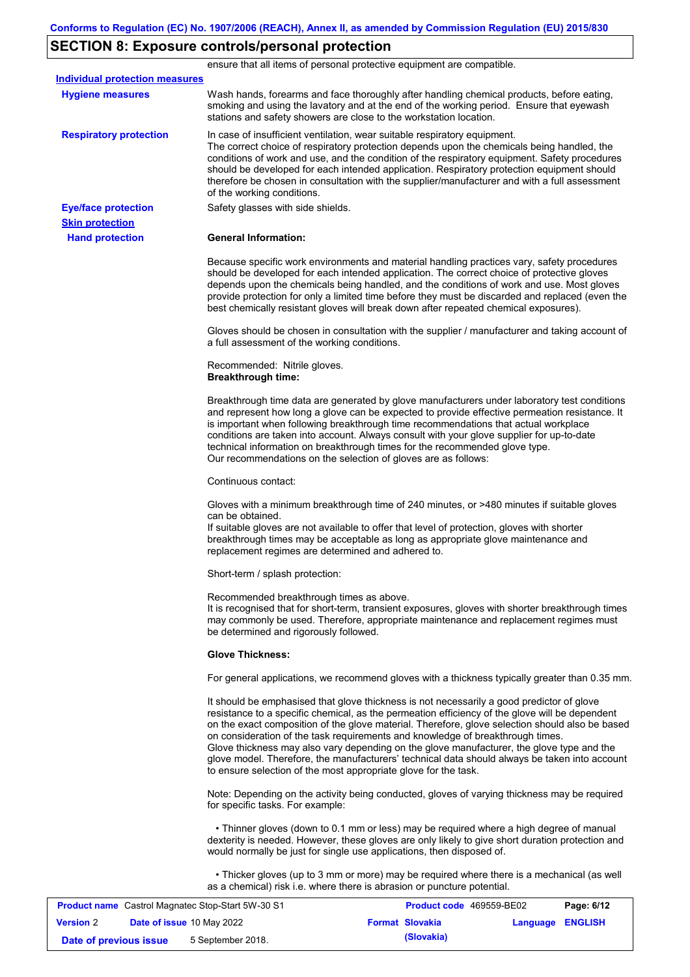# **SECTION 8: Exposure controls/personal protection**

|                                                   |                                                                                    | ensure that all items of personal protective equipment are compatible.                                                                                                                                                                                                                                                                                                                                                                                                                                                                                                         |            |
|---------------------------------------------------|------------------------------------------------------------------------------------|--------------------------------------------------------------------------------------------------------------------------------------------------------------------------------------------------------------------------------------------------------------------------------------------------------------------------------------------------------------------------------------------------------------------------------------------------------------------------------------------------------------------------------------------------------------------------------|------------|
| <b>Individual protection measures</b>             |                                                                                    |                                                                                                                                                                                                                                                                                                                                                                                                                                                                                                                                                                                |            |
| <b>Hygiene measures</b>                           | stations and safety showers are close to the workstation location.                 | Wash hands, forearms and face thoroughly after handling chemical products, before eating,<br>smoking and using the lavatory and at the end of the working period. Ensure that eyewash                                                                                                                                                                                                                                                                                                                                                                                          |            |
| <b>Respiratory protection</b>                     | of the working conditions.                                                         | In case of insufficient ventilation, wear suitable respiratory equipment.<br>The correct choice of respiratory protection depends upon the chemicals being handled, the<br>conditions of work and use, and the condition of the respiratory equipment. Safety procedures<br>should be developed for each intended application. Respiratory protection equipment should<br>therefore be chosen in consultation with the supplier/manufacturer and with a full assessment                                                                                                        |            |
| <b>Eye/face protection</b>                        | Safety glasses with side shields.                                                  |                                                                                                                                                                                                                                                                                                                                                                                                                                                                                                                                                                                |            |
| <b>Skin protection</b>                            |                                                                                    |                                                                                                                                                                                                                                                                                                                                                                                                                                                                                                                                                                                |            |
| <b>Hand protection</b>                            | <b>General Information:</b>                                                        |                                                                                                                                                                                                                                                                                                                                                                                                                                                                                                                                                                                |            |
|                                                   |                                                                                    | Because specific work environments and material handling practices vary, safety procedures<br>should be developed for each intended application. The correct choice of protective gloves<br>depends upon the chemicals being handled, and the conditions of work and use. Most gloves<br>provide protection for only a limited time before they must be discarded and replaced (even the<br>best chemically resistant gloves will break down after repeated chemical exposures).                                                                                               |            |
|                                                   | a full assessment of the working conditions.                                       | Gloves should be chosen in consultation with the supplier / manufacturer and taking account of                                                                                                                                                                                                                                                                                                                                                                                                                                                                                 |            |
|                                                   | Recommended: Nitrile gloves.<br><b>Breakthrough time:</b>                          |                                                                                                                                                                                                                                                                                                                                                                                                                                                                                                                                                                                |            |
|                                                   | Our recommendations on the selection of gloves are as follows:                     | Breakthrough time data are generated by glove manufacturers under laboratory test conditions<br>and represent how long a glove can be expected to provide effective permeation resistance. It<br>is important when following breakthrough time recommendations that actual workplace<br>conditions are taken into account. Always consult with your glove supplier for up-to-date<br>technical information on breakthrough times for the recommended glove type.                                                                                                               |            |
|                                                   | Continuous contact:                                                                |                                                                                                                                                                                                                                                                                                                                                                                                                                                                                                                                                                                |            |
|                                                   | can be obtained.<br>replacement regimes are determined and adhered to.             | Gloves with a minimum breakthrough time of 240 minutes, or >480 minutes if suitable gloves<br>If suitable gloves are not available to offer that level of protection, gloves with shorter<br>breakthrough times may be acceptable as long as appropriate glove maintenance and                                                                                                                                                                                                                                                                                                 |            |
|                                                   | Short-term / splash protection:                                                    |                                                                                                                                                                                                                                                                                                                                                                                                                                                                                                                                                                                |            |
|                                                   | Recommended breakthrough times as above.<br>be determined and rigorously followed. | It is recognised that for short-term, transient exposures, gloves with shorter breakthrough times<br>may commonly be used. Therefore, appropriate maintenance and replacement regimes must                                                                                                                                                                                                                                                                                                                                                                                     |            |
|                                                   | <b>Glove Thickness:</b>                                                            |                                                                                                                                                                                                                                                                                                                                                                                                                                                                                                                                                                                |            |
|                                                   |                                                                                    | For general applications, we recommend gloves with a thickness typically greater than 0.35 mm.                                                                                                                                                                                                                                                                                                                                                                                                                                                                                 |            |
|                                                   | to ensure selection of the most appropriate glove for the task.                    | It should be emphasised that glove thickness is not necessarily a good predictor of glove<br>resistance to a specific chemical, as the permeation efficiency of the glove will be dependent<br>on the exact composition of the glove material. Therefore, glove selection should also be based<br>on consideration of the task requirements and knowledge of breakthrough times.<br>Glove thickness may also vary depending on the glove manufacturer, the glove type and the<br>glove model. Therefore, the manufacturers' technical data should always be taken into account |            |
|                                                   | for specific tasks. For example:                                                   | Note: Depending on the activity being conducted, gloves of varying thickness may be required                                                                                                                                                                                                                                                                                                                                                                                                                                                                                   |            |
|                                                   | would normally be just for single use applications, then disposed of.              | • Thinner gloves (down to 0.1 mm or less) may be required where a high degree of manual<br>dexterity is needed. However, these gloves are only likely to give short duration protection and                                                                                                                                                                                                                                                                                                                                                                                    |            |
|                                                   | as a chemical) risk i.e. where there is abrasion or puncture potential.            | • Thicker gloves (up to 3 mm or more) may be required where there is a mechanical (as well                                                                                                                                                                                                                                                                                                                                                                                                                                                                                     |            |
| Product name Castrol Magnatec Stop-Start 5W-30 S1 |                                                                                    | Product code 469559-BE02                                                                                                                                                                                                                                                                                                                                                                                                                                                                                                                                                       | Page: 6/12 |

|                        | <b>Product Hallie</b> Castion Magnated Stop-Start JW-50 ST |                        | <b>FIGURE COUP 409339-DEVZ</b> | <b>Faut. 0/14</b> |
|------------------------|------------------------------------------------------------|------------------------|--------------------------------|-------------------|
| <b>Version 2</b>       | <b>Date of issue 10 May 2022</b>                           | <b>Format Slovakia</b> | Language ENGLISH               |                   |
| Date of previous issue | 5 September 2018.                                          | (Slovakia)             |                                |                   |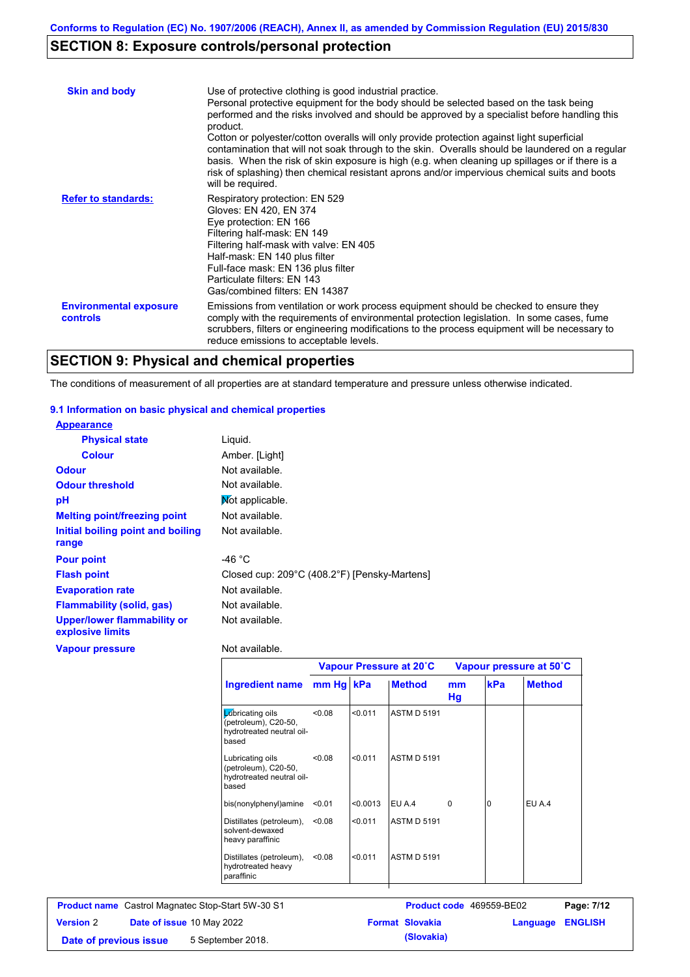# **SECTION 8: Exposure controls/personal protection**

| <b>Skin and body</b>                             | Use of protective clothing is good industrial practice.<br>Personal protective equipment for the body should be selected based on the task being<br>performed and the risks involved and should be approved by a specialist before handling this<br>product.<br>Cotton or polyester/cotton overalls will only provide protection against light superficial<br>contamination that will not soak through to the skin. Overalls should be laundered on a regular<br>basis. When the risk of skin exposure is high (e.g. when cleaning up spillages or if there is a<br>risk of splashing) then chemical resistant aprons and/or impervious chemical suits and boots<br>will be required. |
|--------------------------------------------------|---------------------------------------------------------------------------------------------------------------------------------------------------------------------------------------------------------------------------------------------------------------------------------------------------------------------------------------------------------------------------------------------------------------------------------------------------------------------------------------------------------------------------------------------------------------------------------------------------------------------------------------------------------------------------------------|
| <b>Refer to standards:</b>                       | Respiratory protection: EN 529<br>Gloves: EN 420, EN 374<br>Eye protection: EN 166<br>Filtering half-mask: EN 149<br>Filtering half-mask with valve: EN 405<br>Half-mask: EN 140 plus filter<br>Full-face mask: EN 136 plus filter<br>Particulate filters: EN 143<br>Gas/combined filters: EN 14387                                                                                                                                                                                                                                                                                                                                                                                   |
| <b>Environmental exposure</b><br><b>controls</b> | Emissions from ventilation or work process equipment should be checked to ensure they<br>comply with the requirements of environmental protection legislation. In some cases, fume<br>scrubbers, filters or engineering modifications to the process equipment will be necessary to<br>reduce emissions to acceptable levels.                                                                                                                                                                                                                                                                                                                                                         |

### **SECTION 9: Physical and chemical properties**

The conditions of measurement of all properties are at standard temperature and pressure unless otherwise indicated.

#### **9.1 Information on basic physical and chemical properties**

| <b>Appearance</b>                                      |                                              |
|--------------------------------------------------------|----------------------------------------------|
| <b>Physical state</b>                                  | Liguid.                                      |
| <b>Colour</b>                                          | Amber. [Light]                               |
| <b>Odour</b>                                           | Not available.                               |
| <b>Odour threshold</b>                                 | Not available.                               |
| pH                                                     | Mot applicable.                              |
| <b>Melting point/freezing point</b>                    | Not available.                               |
| Initial boiling point and boiling<br>range             | Not available.                               |
| <b>Pour point</b>                                      | -46 $^{\circ}$ C                             |
| <b>Flash point</b>                                     | Closed cup: 209°C (408.2°F) [Pensky-Martens] |
| <b>Evaporation rate</b>                                | Not available.                               |
| <b>Flammability (solid, gas)</b>                       | Not available.                               |
| <b>Upper/lower flammability or</b><br>explosive limits | Not available.                               |
| Vapour pressure                                        | Not available.                               |

|                                                                                | Vapour Pressure at 20°C |          |                    | Vapour pressure at 50°C |     |               |
|--------------------------------------------------------------------------------|-------------------------|----------|--------------------|-------------------------|-----|---------------|
| Ingredient name                                                                | mm Hq kPa               |          | <b>Method</b>      | mm<br>Hg                | kPa | <b>Method</b> |
| Lubricating oils<br>(petroleum), C20-50,<br>hydrotreated neutral oil-<br>based | 0.08                    | < 0.011  | <b>ASTM D 5191</b> |                         |     |               |
| Lubricating oils<br>(petroleum), C20-50,<br>hydrotreated neutral oil-<br>based | < 0.08                  | < 0.011  | <b>ASTM D 5191</b> |                         |     |               |
| bis(nonylphenyl)amine                                                          | < 0.01                  | < 0.0013 | EU A.4             | $\Omega$                | 0   | EU A.4        |
| Distillates (petroleum),<br>solvent-dewaxed<br>heavy paraffinic                | < 0.08                  | < 0.011  | <b>ASTM D 5191</b> |                         |     |               |
| Distillates (petroleum),<br>hydrotreated heavy<br>paraffinic                   | < 0.08                  | < 0.011  | <b>ASTM D 5191</b> |                         |     |               |

| <b>Product name</b> Castrol Magnatec Stop-Start 5W-30 S1 |  |                                  | <b>Product code</b> 469559-BE02 |                        | Page: 7/12       |  |
|----------------------------------------------------------|--|----------------------------------|---------------------------------|------------------------|------------------|--|
| <b>Version 2</b>                                         |  | <b>Date of issue 10 May 2022</b> |                                 | <b>Format Slovakia</b> | Language ENGLISH |  |
| Date of previous issue                                   |  | 5 September 2018.                |                                 | (Slovakia)             |                  |  |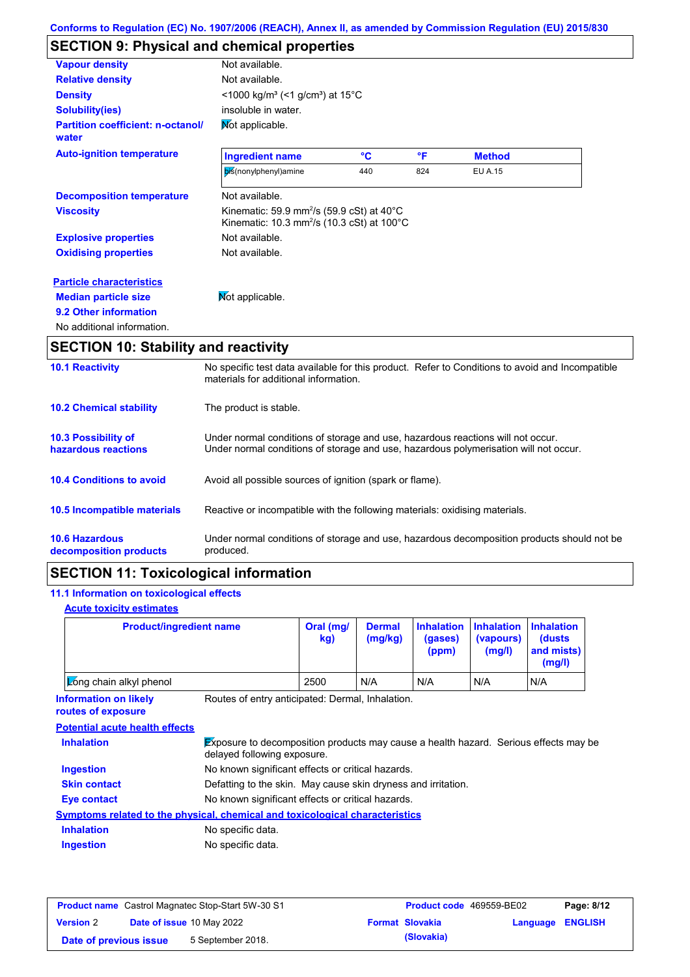# **SECTION 9: Physical and chemical properties**

| <b>Vapour density</b>                             | Not available.                                                                                                                       |     |     |                |  |
|---------------------------------------------------|--------------------------------------------------------------------------------------------------------------------------------------|-----|-----|----------------|--|
| <b>Relative density</b>                           | Not available.                                                                                                                       |     |     |                |  |
| <b>Density</b>                                    | <1000 kg/m <sup>3</sup> (<1 g/cm <sup>3</sup> ) at 15°C                                                                              |     |     |                |  |
| <b>Solubility(ies)</b>                            | insoluble in water.                                                                                                                  |     |     |                |  |
| <b>Partition coefficient: n-octanol/</b><br>water | Mot applicable.                                                                                                                      |     |     |                |  |
| <b>Auto-ignition temperature</b>                  | <b>Ingredient name</b>                                                                                                               | °C  | °F  | <b>Method</b>  |  |
|                                                   | bis(nonylphenyl)amine                                                                                                                | 440 | 824 | <b>EU A.15</b> |  |
| <b>Decomposition temperature</b>                  | Not available.                                                                                                                       |     |     |                |  |
| <b>Viscosity</b>                                  | Kinematic: 59.9 mm <sup>2</sup> /s (59.9 cSt) at $40^{\circ}$ C<br>Kinematic: 10.3 mm <sup>2</sup> /s (10.3 cSt) at 100 $^{\circ}$ C |     |     |                |  |
| <b>Explosive properties</b>                       | Not available.                                                                                                                       |     |     |                |  |
| <b>Oxidising properties</b>                       | Not available.                                                                                                                       |     |     |                |  |
| <b>Particle characteristics</b>                   |                                                                                                                                      |     |     |                |  |
| <b>Median particle size</b>                       | Not applicable.                                                                                                                      |     |     |                |  |
| 9.2 Other information                             |                                                                                                                                      |     |     |                |  |
| No additional information.                        |                                                                                                                                      |     |     |                |  |

| <b>10.1 Reactivity</b>                            | No specific test data available for this product. Refer to Conditions to avoid and Incompatible<br>materials for additional information.                                |
|---------------------------------------------------|-------------------------------------------------------------------------------------------------------------------------------------------------------------------------|
| <b>10.2 Chemical stability</b>                    | The product is stable.                                                                                                                                                  |
| <b>10.3 Possibility of</b><br>hazardous reactions | Under normal conditions of storage and use, hazardous reactions will not occur.<br>Under normal conditions of storage and use, hazardous polymerisation will not occur. |
| <b>10.4 Conditions to avoid</b>                   | Avoid all possible sources of ignition (spark or flame).                                                                                                                |
| <b>10.5 Incompatible materials</b>                | Reactive or incompatible with the following materials: oxidising materials.                                                                                             |
| <b>10.6 Hazardous</b><br>decomposition products   | Under normal conditions of storage and use, hazardous decomposition products should not be<br>produced.                                                                 |

### **SECTION 11: Toxicological information**

### **11.1 Information on toxicological effects**

#### **Acute toxicity estimates**

| <b>Product/ingredient name</b> | Oral (mg/<br>kg) | <b>Dermal</b><br>(mg/kg) | Inhalation Inhalation Inhalation<br>(gases)<br>(ppm) | (vapours)<br>(mg/l) | <b>(dusts)</b><br>and mists)<br>(mg/l) |
|--------------------------------|------------------|--------------------------|------------------------------------------------------|---------------------|----------------------------------------|
| <b>Long chain alkyl phenol</b> | 2500             | N/A                      | N/A                                                  | N/A                 | N/A                                    |

**Information on likely routes of exposure**

Routes of entry anticipated: Dermal, Inhalation.

**Potential acute health effects**

| <b>Inhalation</b>   | $\cancel{\text{Ex}}$ posure to decomposition products may cause a health hazard. Serious effects may be<br>delayed following exposure. |  |  |
|---------------------|----------------------------------------------------------------------------------------------------------------------------------------|--|--|
| <b>Ingestion</b>    | No known significant effects or critical hazards.                                                                                      |  |  |
| <b>Skin contact</b> | Defatting to the skin. May cause skin dryness and irritation.                                                                          |  |  |
| <b>Eye contact</b>  | No known significant effects or critical hazards.                                                                                      |  |  |
|                     | <b>Symptoms related to the physical, chemical and toxicological characteristics</b>                                                    |  |  |
| <b>Inhalation</b>   | No specific data.                                                                                                                      |  |  |
| <b>Ingestion</b>    | No specific data.                                                                                                                      |  |  |

| <b>Product name</b> Castrol Magnatec Stop-Start 5W-30 S1 |  |                                  | <b>Product code</b> 469559-BE02 | Page: 8/12             |                         |  |
|----------------------------------------------------------|--|----------------------------------|---------------------------------|------------------------|-------------------------|--|
| <b>Version 2</b>                                         |  | <b>Date of issue 10 May 2022</b> |                                 | <b>Format Slovakia</b> | <b>Language ENGLISH</b> |  |
| Date of previous issue                                   |  | 5 September 2018.                |                                 | (Slovakia)             |                         |  |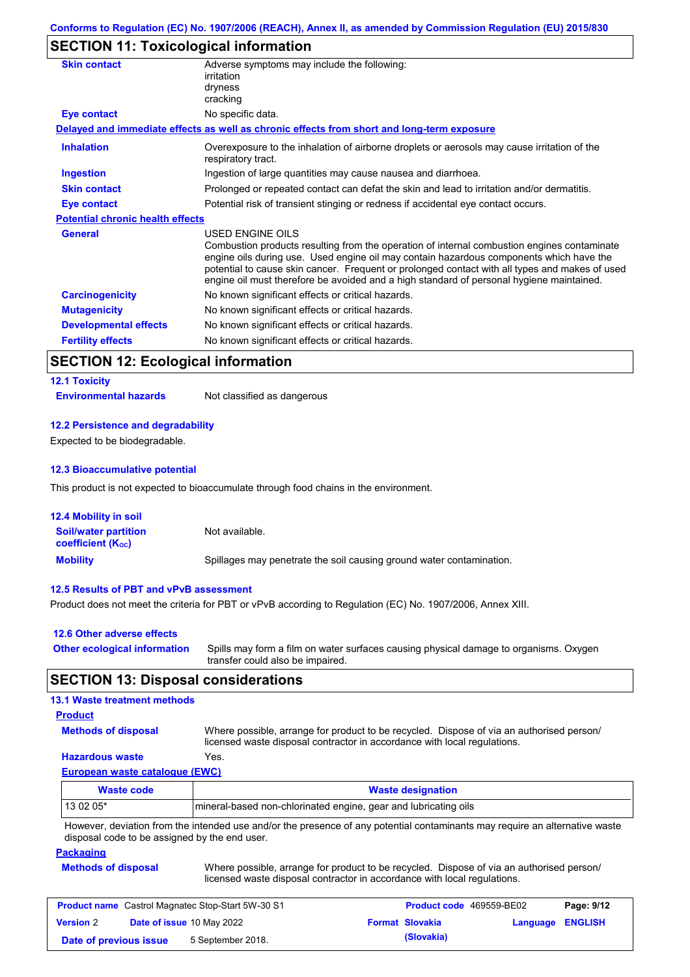# **SECTION 11: Toxicological information**

| <b>Skin contact</b>                     | Adverse symptoms may include the following:<br>irritation<br>dryness<br>cracking                                                                                                                                                                                                                                                                                                                         |  |  |
|-----------------------------------------|----------------------------------------------------------------------------------------------------------------------------------------------------------------------------------------------------------------------------------------------------------------------------------------------------------------------------------------------------------------------------------------------------------|--|--|
| Eye contact                             | No specific data.                                                                                                                                                                                                                                                                                                                                                                                        |  |  |
|                                         | Delayed and immediate effects as well as chronic effects from short and long-term exposure                                                                                                                                                                                                                                                                                                               |  |  |
| <b>Inhalation</b>                       | Overexposure to the inhalation of airborne droplets or aerosols may cause irritation of the<br>respiratory tract.                                                                                                                                                                                                                                                                                        |  |  |
| <b>Ingestion</b>                        | Ingestion of large quantities may cause nausea and diarrhoea.                                                                                                                                                                                                                                                                                                                                            |  |  |
| <b>Skin contact</b>                     | Prolonged or repeated contact can defat the skin and lead to irritation and/or dermatitis.                                                                                                                                                                                                                                                                                                               |  |  |
| Eye contact                             | Potential risk of transient stinging or redness if accidental eye contact occurs.                                                                                                                                                                                                                                                                                                                        |  |  |
| <b>Potential chronic health effects</b> |                                                                                                                                                                                                                                                                                                                                                                                                          |  |  |
| <b>General</b>                          | USED ENGINE OILS<br>Combustion products resulting from the operation of internal combustion engines contaminate<br>engine oils during use. Used engine oil may contain hazardous components which have the<br>potential to cause skin cancer. Frequent or prolonged contact with all types and makes of used<br>engine oil must therefore be avoided and a high standard of personal hygiene maintained. |  |  |
| <b>Carcinogenicity</b>                  | No known significant effects or critical hazards.                                                                                                                                                                                                                                                                                                                                                        |  |  |
| <b>Mutagenicity</b>                     | No known significant effects or critical hazards.                                                                                                                                                                                                                                                                                                                                                        |  |  |
| <b>Developmental effects</b>            | No known significant effects or critical hazards.                                                                                                                                                                                                                                                                                                                                                        |  |  |
| <b>Fertility effects</b>                | No known significant effects or critical hazards.                                                                                                                                                                                                                                                                                                                                                        |  |  |

### **SECTION 12: Ecological information**

### **12.1 Toxicity**

**Environmental hazards** Not classified as dangerous

#### **12.2 Persistence and degradability**

Expected to be biodegradable.

#### **12.3 Bioaccumulative potential**

This product is not expected to bioaccumulate through food chains in the environment.

| <b>12.4 Mobility in soil</b>                            |                                                                      |
|---------------------------------------------------------|----------------------------------------------------------------------|
| <b>Soil/water partition</b><br><b>coefficient (Koc)</b> | Not available.                                                       |
| <b>Mobility</b>                                         | Spillages may penetrate the soil causing ground water contamination. |

#### **12.5 Results of PBT and vPvB assessment**

Product does not meet the criteria for PBT or vPvB according to Regulation (EC) No. 1907/2006, Annex XIII.

| 12.6 Other adverse effects          |                                                                                                                           |
|-------------------------------------|---------------------------------------------------------------------------------------------------------------------------|
| <b>Other ecological information</b> | Spills may form a film on water surfaces causing physical damage to organisms. Oxygen<br>transfer could also be impaired. |

### **SECTION 13: Disposal considerations**

#### **13.1 Waste treatment methods**

#### **Product**

**Methods of disposal**

Where possible, arrange for product to be recycled. Dispose of via an authorised person/ licensed waste disposal contractor in accordance with local regulations.

#### **Hazardous waste** Yes.

**European waste catalogue (EWC)**

| Waste code                                                                                                                  | <b>Waste designation</b> |  |  |
|-----------------------------------------------------------------------------------------------------------------------------|--------------------------|--|--|
| $130205*$<br>mineral-based non-chlorinated engine, gear and lubricating oils                                                |                          |  |  |
| However, deviation from the intended use and/or the presence of any potential contaminants may require an alternative waste |                          |  |  |

isence of any potential contaminants may require an alternative waste disposal code to be assigned by the end user.

#### **Packaging**

| <b>Methods of disposal</b> | Where possible, arrange for product to be recycled. Dispose of via an authorised person/ |
|----------------------------|------------------------------------------------------------------------------------------|
|                            | licensed waste disposal contractor in accordance with local regulations.                 |

| <b>Product name</b> Castrol Magnatec Stop-Start 5W-30 S1 |  |                                  | <b>Product code</b> 469559-BE02 | Page: 9/12             |                         |  |
|----------------------------------------------------------|--|----------------------------------|---------------------------------|------------------------|-------------------------|--|
| <b>Version 2</b>                                         |  | <b>Date of issue 10 May 2022</b> |                                 | <b>Format Slovakia</b> | <b>Language ENGLISH</b> |  |
| Date of previous issue                                   |  | 5 September 2018.                |                                 | (Slovakia)             |                         |  |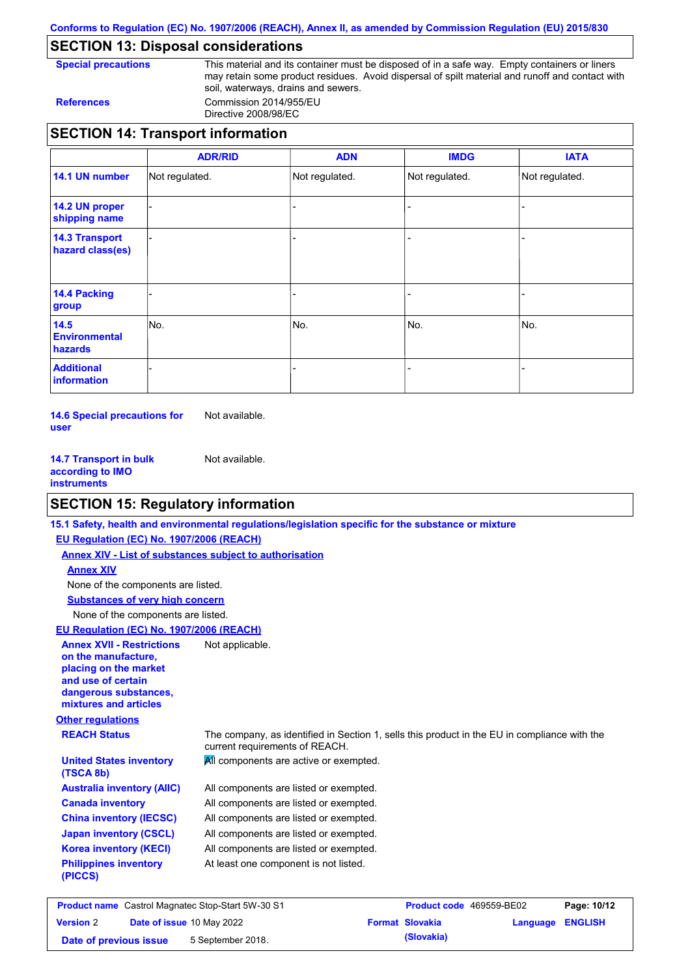**Conforms to Regulation (EC) No. 1907/2006 (REACH), Annex II, as amended by Commission Regulation (EU) 2015/830**

## **SECTION 13: Disposal considerations**

**Special precautions** This material and its container must be disposed of in a safe way. Empty containers or liners may retain some product residues. Avoid dispersal of spilt material and runoff and contact with soil, waterways, drains and sewers. **References** Commission 2014/955/EU

Directive 2008/98/EC

|                                           | <b>ADR/RID</b> | <b>ADN</b>     | <b>IMDG</b>    | <b>IATA</b>    |
|-------------------------------------------|----------------|----------------|----------------|----------------|
| 14.1 UN number                            | Not regulated. | Not regulated. | Not regulated. | Not regulated. |
| 14.2 UN proper<br>shipping name           |                |                |                |                |
| <b>14.3 Transport</b><br>hazard class(es) |                |                |                |                |
| 14.4 Packing<br>group                     |                |                |                |                |
| 14.5<br><b>Environmental</b><br>hazards   | INo.           | No.            | No.            | No.            |
| <b>Additional</b><br>information          |                |                |                |                |

**14.6 Special precautions for user** Not available.

**14.7 Transport in bulk according to IMO instruments** Not available.

### **SECTION 15: Regulatory information**

|                                                                                                                                                          | 15.1 Safety, health and environmental regulations/legislation specific for the substance or mixture                            |
|----------------------------------------------------------------------------------------------------------------------------------------------------------|--------------------------------------------------------------------------------------------------------------------------------|
| EU Regulation (EC) No. 1907/2006 (REACH)                                                                                                                 |                                                                                                                                |
| <b>Annex XIV - List of substances subject to authorisation</b>                                                                                           |                                                                                                                                |
| <b>Annex XIV</b>                                                                                                                                         |                                                                                                                                |
| None of the components are listed.                                                                                                                       |                                                                                                                                |
| <b>Substances of very high concern</b>                                                                                                                   |                                                                                                                                |
| None of the components are listed.                                                                                                                       |                                                                                                                                |
| EU Regulation (EC) No. 1907/2006 (REACH)                                                                                                                 |                                                                                                                                |
| <b>Annex XVII - Restrictions</b><br>on the manufacture.<br>placing on the market<br>and use of certain<br>dangerous substances,<br>mixtures and articles | Not applicable.                                                                                                                |
| <b>Other regulations</b>                                                                                                                                 |                                                                                                                                |
| <b>REACH Status</b>                                                                                                                                      | The company, as identified in Section 1, sells this product in the EU in compliance with the<br>current requirements of REACH. |
| <b>United States inventory</b><br>(TSCA 8b)                                                                                                              | All components are active or exempted.                                                                                         |
| <b>Australia inventory (AIIC)</b>                                                                                                                        | All components are listed or exempted.                                                                                         |
| <b>Canada inventory</b>                                                                                                                                  | All components are listed or exempted.                                                                                         |
| <b>China inventory (IECSC)</b>                                                                                                                           | All components are listed or exempted.                                                                                         |
| <b>Japan inventory (CSCL)</b>                                                                                                                            | All components are listed or exempted.                                                                                         |
| <b>Korea inventory (KECI)</b>                                                                                                                            | All components are listed or exempted.                                                                                         |
| <b>Philippines inventory</b><br>(PICCS)                                                                                                                  | At least one component is not listed.                                                                                          |
|                                                                                                                                                          |                                                                                                                                |

| <b>Product name</b> Castrol Magnatec Stop-Start 5W-30 S1 |  | Product code 469559-BE02         | Page: 10/12 |                        |                  |  |
|----------------------------------------------------------|--|----------------------------------|-------------|------------------------|------------------|--|
| <b>Version 2</b>                                         |  | <b>Date of issue 10 May 2022</b> |             | <b>Format Slovakia</b> | Language ENGLISH |  |
| Date of previous issue                                   |  | 5 September 2018.                |             | (Slovakia)             |                  |  |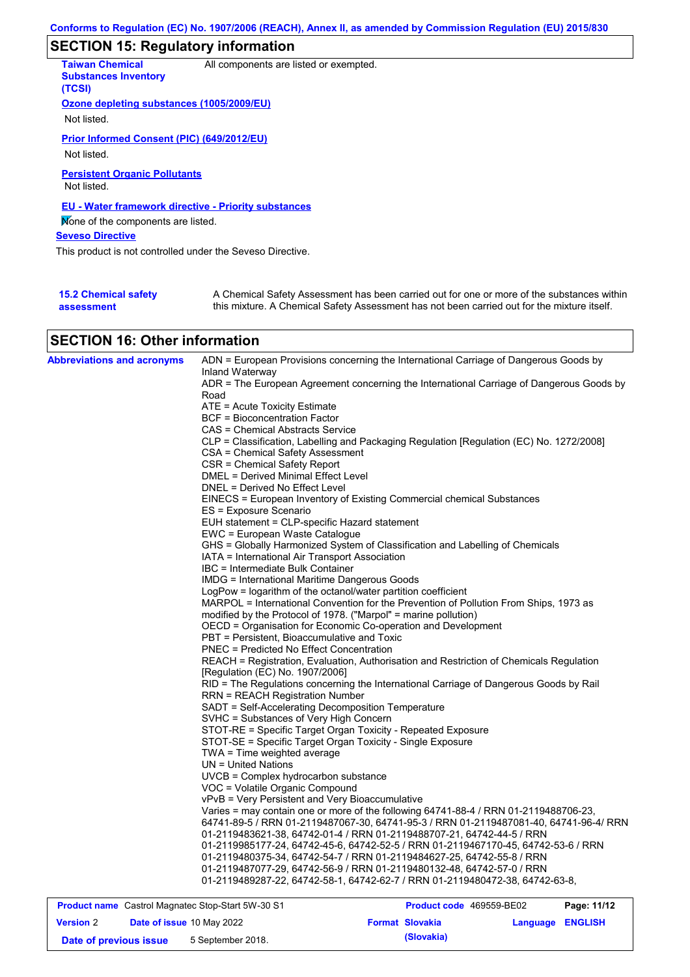# **SECTION 15: Regulatory information**

| <b>Taiwan Chemical</b><br><b>Substances Inventory</b><br>(TCSI) | All components are listed or exempted.                                                                                                                                                    |
|-----------------------------------------------------------------|-------------------------------------------------------------------------------------------------------------------------------------------------------------------------------------------|
| Ozone depleting substances (1005/2009/EU)                       |                                                                                                                                                                                           |
| Not listed.                                                     |                                                                                                                                                                                           |
| Prior Informed Consent (PIC) (649/2012/EU)                      |                                                                                                                                                                                           |
| Not listed.                                                     |                                                                                                                                                                                           |
| <b>Persistent Organic Pollutants</b><br>Not listed.             |                                                                                                                                                                                           |
| EU - Water framework directive - Priority substances            |                                                                                                                                                                                           |
| Mone of the components are listed.                              |                                                                                                                                                                                           |
| <b>Seveso Directive</b>                                         |                                                                                                                                                                                           |
| This product is not controlled under the Seveso Directive.      |                                                                                                                                                                                           |
|                                                                 |                                                                                                                                                                                           |
| <b>15.2 Chemical safety</b><br>assessment                       | A Chemical Safety Assessment has been carried out for one or more of the substances within<br>this mixture. A Chemical Safety Assessment has not been carried out for the mixture itself. |

# **SECTION 16: Other information**

| <b>Abbreviations and acronyms</b> | ADN = European Provisions concerning the International Carriage of Dangerous Goods by                                            |  |  |
|-----------------------------------|----------------------------------------------------------------------------------------------------------------------------------|--|--|
|                                   | Inland Waterway                                                                                                                  |  |  |
|                                   | ADR = The European Agreement concerning the International Carriage of Dangerous Goods by<br>Road                                 |  |  |
|                                   | ATE = Acute Toxicity Estimate                                                                                                    |  |  |
|                                   | <b>BCF = Bioconcentration Factor</b>                                                                                             |  |  |
|                                   | CAS = Chemical Abstracts Service                                                                                                 |  |  |
|                                   | CLP = Classification, Labelling and Packaging Regulation [Regulation (EC) No. 1272/2008]                                         |  |  |
|                                   | CSA = Chemical Safety Assessment                                                                                                 |  |  |
|                                   | CSR = Chemical Safety Report                                                                                                     |  |  |
|                                   | <b>DMEL = Derived Minimal Effect Level</b>                                                                                       |  |  |
|                                   | DNEL = Derived No Effect Level                                                                                                   |  |  |
|                                   | EINECS = European Inventory of Existing Commercial chemical Substances                                                           |  |  |
|                                   | ES = Exposure Scenario                                                                                                           |  |  |
|                                   | EUH statement = CLP-specific Hazard statement                                                                                    |  |  |
|                                   | EWC = European Waste Catalogue                                                                                                   |  |  |
|                                   | GHS = Globally Harmonized System of Classification and Labelling of Chemicals                                                    |  |  |
|                                   | IATA = International Air Transport Association                                                                                   |  |  |
|                                   | IBC = Intermediate Bulk Container                                                                                                |  |  |
|                                   | <b>IMDG = International Maritime Dangerous Goods</b>                                                                             |  |  |
|                                   | LogPow = logarithm of the octanol/water partition coefficient                                                                    |  |  |
|                                   | MARPOL = International Convention for the Prevention of Pollution From Ships, 1973 as                                            |  |  |
|                                   | modified by the Protocol of 1978. ("Marpol" = marine pollution)                                                                  |  |  |
|                                   | OECD = Organisation for Economic Co-operation and Development                                                                    |  |  |
|                                   | PBT = Persistent, Bioaccumulative and Toxic                                                                                      |  |  |
|                                   | PNEC = Predicted No Effect Concentration                                                                                         |  |  |
|                                   | REACH = Registration, Evaluation, Authorisation and Restriction of Chemicals Regulation                                          |  |  |
|                                   | [Regulation (EC) No. 1907/2006]                                                                                                  |  |  |
|                                   | RID = The Regulations concerning the International Carriage of Dangerous Goods by Rail<br><b>RRN = REACH Registration Number</b> |  |  |
|                                   | SADT = Self-Accelerating Decomposition Temperature                                                                               |  |  |
|                                   | SVHC = Substances of Very High Concern                                                                                           |  |  |
|                                   | STOT-RE = Specific Target Organ Toxicity - Repeated Exposure                                                                     |  |  |
|                                   | STOT-SE = Specific Target Organ Toxicity - Single Exposure                                                                       |  |  |
|                                   | TWA = Time weighted average                                                                                                      |  |  |
|                                   | UN = United Nations                                                                                                              |  |  |
|                                   | UVCB = Complex hydrocarbon substance                                                                                             |  |  |
|                                   | VOC = Volatile Organic Compound                                                                                                  |  |  |
|                                   | vPvB = Very Persistent and Very Bioaccumulative                                                                                  |  |  |
|                                   | Varies = may contain one or more of the following 64741-88-4 / RRN 01-2119488706-23,                                             |  |  |
|                                   | 64741-89-5 / RRN 01-2119487067-30, 64741-95-3 / RRN 01-2119487081-40, 64741-96-4/ RRN                                            |  |  |
|                                   | 01-2119483621-38, 64742-01-4 / RRN 01-2119488707-21, 64742-44-5 / RRN                                                            |  |  |
|                                   | 01-2119985177-24, 64742-45-6, 64742-52-5 / RRN 01-2119467170-45, 64742-53-6 / RRN                                                |  |  |
|                                   | 01-2119480375-34, 64742-54-7 / RRN 01-2119484627-25, 64742-55-8 / RRN                                                            |  |  |
|                                   | 01-2119487077-29, 64742-56-9 / RRN 01-2119480132-48, 64742-57-0 / RRN                                                            |  |  |
|                                   | 01-2119489287-22, 64742-58-1, 64742-62-7 / RRN 01-2119480472-38, 64742-63-8,                                                     |  |  |

| <b>Product name</b> Castrol Magnatec Stop-Start 5W-30 S1 |  |                                  | <b>Product code</b> 469559-BE02 |                        | Page: 11/12             |  |
|----------------------------------------------------------|--|----------------------------------|---------------------------------|------------------------|-------------------------|--|
| <b>Version 2</b>                                         |  | <b>Date of issue 10 May 2022</b> |                                 | <b>Format Slovakia</b> | <b>Language ENGLISH</b> |  |
| Date of previous issue                                   |  | 5 September 2018.                |                                 | (Slovakia)             |                         |  |